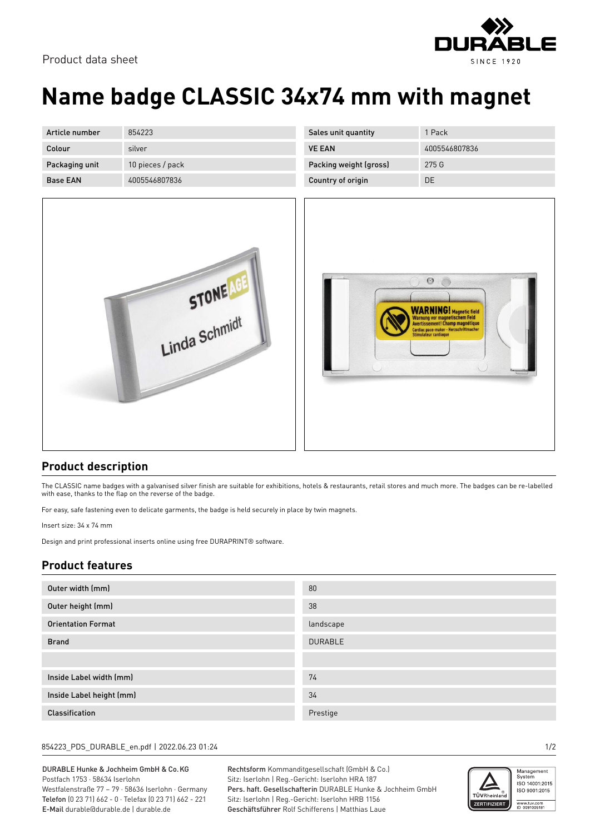

# **Name badge CLASSIC 34x74 mm with magnet**

| Article number  | 854223           |
|-----------------|------------------|
| Colour          | silver           |
| Packaging unit  | 10 pieces / pack |
| <b>Base FAN</b> | 4005546807836    |



| Sales unit quantity    | 1 Pack        |
|------------------------|---------------|
| <b>VE FAN</b>          | 4005546807836 |
| Packing weight (gross) | 275 G         |
| Country of origin      | DE.           |



#### **Product description**

The CLASSIC name badges with a galvanised silver finish are suitable for exhibitions, hotels & restaurants, retail stores and much more. The badges can be re-labelled with ease, thanks to the flap on the reverse of the badge.

For easy, safe fastening even to delicate garments, the badge is held securely in place by twin magnets.

Insert size: 34 x 74 mm

Design and print professional inserts online using free DURAPRINT® software.

### **Product features**

| Outer width (mm)          | 80             |
|---------------------------|----------------|
| Outer height (mm)         | 38             |
| <b>Orientation Format</b> | landscape      |
| <b>Brand</b>              | <b>DURABLE</b> |
|                           |                |
| Inside Label width (mm)   | 74             |
| Inside Label height (mm)  | 34             |
| Classification            | Prestige       |

#### 854223\_PDS\_DURABLE\_en.pdf | 2022.06.23 01:24 1/2

DURABLE Hunke & Jochheim GmbH & Co.KG Postfach 1753 · 58634 Iserlohn Westfalenstraße 77 – 79 · 58636 Iserlohn · Germany Telefon (0 23 71) 662 - 0 · Telefax (0 23 71) 662 - 221 E-Mail durable@durable.de | durable.de

Rechtsform Kommanditgesellschaft (GmbH & Co.) Sitz: Iserlohn | Reg.-Gericht: Iserlohn HRA 187 Pers. haft. Gesellschafterin DURABLE Hunke & Jochheim GmbH Sitz: Iserlohn | Reg.-Gericht: Iserlohn HRB 1156 Geschäftsführer Rolf Schifferens | Matthias Laue